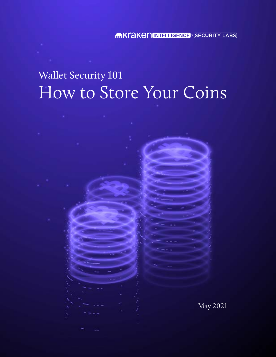MKTAKEN INTELLIGENCE X SECURITY LABS

# Wallet Security 101 How to Store Your Coins

May 2021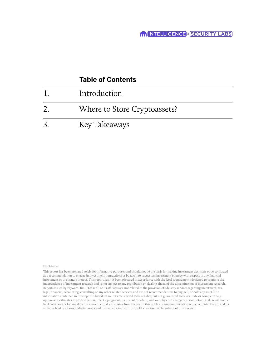### **Table of Contents**

| Introduction                 |
|------------------------------|
| Where to Store Cryptoassets? |
| Key Takeaways                |

#### Disclosures

This report has been prepared solely for informative purposes and should not be the basis for making investment decisions or be construed as a recommendation to engage in investment transactions or be taken to suggest an investment strategy with respect to any financial instrument or the issuers thereof. This report has not been prepared in accordance with the legal requirements designed to promote the independence of investment research and is not subject to any prohibition on dealing ahead of the dissemination of investment research. Reports issued by Payward, Inc. ("Kraken") or its affiliates are not related to the provision of advisory services regarding investment, tax, legal, financial, accounting, consulting or any other related services and are not recommendations to buy, sell, or hold any asset. The information contained in this report is based on sources considered to be reliable, but not guaranteed to be accurate or complete. Any opinions or estimates expressed herein reflect a judgment made as of this date, and are subject to change without notice. Kraken will not be liable whatsoever for any direct or consequential loss arising from the use of this publication/communication or its contents. Kraken and its affiliates hold positions in digital assets and may now or in the future hold a position in the subject of this research.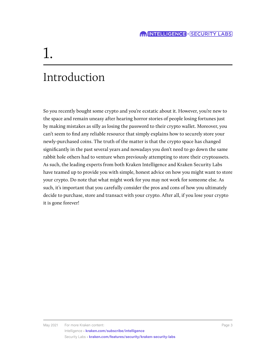# 1.

## Introduction

So you recently bought some crypto and you're ecstatic about it. However, you're new to the space and remain uneasy after hearing horror stories of people losing fortunes just by making mistakes as silly as losing the password to their crypto wallet. Moreover, you can't seem to find any reliable resource that simply explains how to securely store your newly-purchased coins. The truth of the matter is that the crypto space has changed significantly in the past several years and nowadays you don't need to go down the same rabbit hole others had to venture when previously attempting to store their cryptoassets. As such, the leading experts from both Kraken Intelligence and Kraken Security Labs have teamed up to provide you with simple, honest advice on how you might want to store your crypto. Do note that what might work for you may not work for someone else. As such, it's important that you carefully consider the pros and cons of how you ultimately decide to purchase, store and transact with your crypto. After all, if you lose your crypto it is gone forever!

May 2021 For more Kraken content: Page 3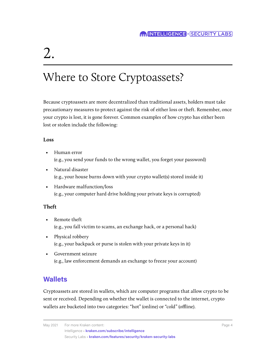# 2.

## Where to Store Cryptoassets?

Because cryptoassets are more decentralized than traditional assets, holders must take precautionary measures to protect against the risk of either loss or theft. Remember, once your crypto is lost, it is gone forever. Common examples of how crypto has either been lost or stolen include the following:

#### **Loss**

- Human error (e.g., you send your funds to the wrong wallet, you forget your password)
- Natural disaster (e.g., your house burns down with your crypto wallet(s) stored inside it)
- Hardware malfunction/loss (e.g., your computer hard drive holding your private keys is corrupted)

#### **Theft**

- Remote theft (e.g., you fall victim to scams, an exchange hack, or a personal hack)
- Physical robbery (e.g., your backpack or purse is stolen with your private keys in it)
- Government seizure (e.g., law enforcement demands an exchange to freeze your account)

### **Wallets**

Cryptoassets are stored in wallets, which are computer programs that allow crypto to be sent or received. Depending on whether the wallet is connected to the internet, crypto wallets are bucketed into two categories: "hot" (online) or "cold" (offline).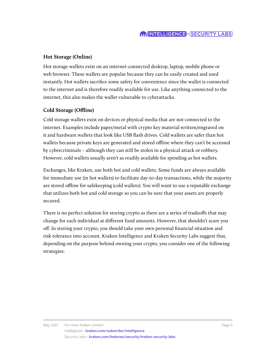#### **Hot Storage (Online)**

Hot storage wallets exist on an internet-connected desktop, laptop, mobile phone or web browser. These wallets are popular because they can be easily created and used instantly. Hot wallets sacrifice some safety for convenience since the wallet is connected to the internet and is therefore readily available for use. Like anything connected to the internet, this also makes the wallet vulnerable to cyberattacks.

#### **Cold Storage (Offline)**

Cold storage wallets exist on devices or physical media that are not connected to the internet. Examples include paper/metal with crypto key material written/engraved on it and hardware wallets that look like USB flash drives. Cold wallets are safer than hot wallets because private keys are generated and stored offline where they can't be accessed by cybercriminals – although they can still be stolen in a physical attack or robbery. However, cold wallets usually aren't as readily available for spending as hot wallets.

Exchanges, like Kraken, use both hot and cold wallets. Some funds are always available for immediate use (in hot wallets) to facilitate day-to-day transactions, while the majority are stored offline for safekeeping (cold wallets). You will want to use a reputable exchange that utilizes both hot and cold storage so you can be sure that your assets are properly secured.

There is no perfect solution for storing crypto as there are a series of tradeoffs that may change for each individual at different fund amounts. However, that shouldn't scare you off. In storing your crypto, you should take your own personal financial situation and risk tolerance into account. Kraken Intelligence and Kraken Security Labs suggest that, depending on the purpose behind owning your crypto, you consider one of the following strategies: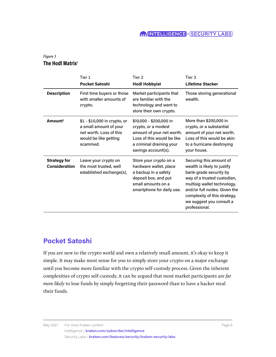#### **MINTELLIGENCE x** SECURITY LABS

#### *Figure 1* **The Hodl Matrix**1

|                                             | Tier 1<br><b>Pocket Satoshi</b>                                                                                        | Tier 2<br><b>Hodl Hobbyist</b>                                                                                                                               | Tier 3<br><b>Lifetime Stacker</b>                                                                                                                                                                                                                           |
|---------------------------------------------|------------------------------------------------------------------------------------------------------------------------|--------------------------------------------------------------------------------------------------------------------------------------------------------------|-------------------------------------------------------------------------------------------------------------------------------------------------------------------------------------------------------------------------------------------------------------|
| <b>Description</b>                          | First time buyers or those<br>with smaller amounts of<br>crypto.                                                       | Market participants that<br>are familiar with the<br>technology and want to<br>store their own crypto.                                                       | Those storing generational<br>wealth.                                                                                                                                                                                                                       |
| Amount <sup>2</sup>                         | \$1 - \$10,000 in crypto, or<br>a small amount of your<br>net worth. Loss of this<br>would be like getting<br>scammed. | \$10,000 - \$200,000 in<br>crypto, or a modest<br>amount of your net worth.<br>Loss of this would be like<br>a criminal draining your<br>savings account(s). | More than \$200,000 in<br>crypto, or a substantial<br>amount of your net worth.<br>Loss of this would be akin<br>to a hurricane destroying<br>your house.                                                                                                   |
| <b>Strategy for</b><br><b>Consideration</b> | Leave your crypto on<br>the most trusted, well<br>established exchange(s).                                             | Store your crypto on a<br>hardware wallet, place<br>a backup in a safety<br>deposit box, and put<br>small amounts on a<br>smartphone for daily use.          | Securing this amount of<br>wealth is likely to justify<br>bank-grade security by<br>way of a trusted custodian,<br>multisig wallet technology,<br>and/or full nodes. Given the<br>complexity of this strategy,<br>we suggest you consult a<br>professional. |

### **Pocket Satoshi**

If you are new to the crypto world and own a relatively small amount, it's okay to keep it simple. It may make most sense for you to simply store your crypto on a major exchange until you become more familiar with the crypto self-custody process. Given the inherent complexities of crypto self-custody, it can be argued that most market participants are *far more likely* to lose funds by simply forgetting their password than to have a hacker steal their funds.

May 2021 For more Kraken content:  $P_{\text{a}}$  and  $P_{\text{a}}$  and  $P_{\text{a}}$  and  $P_{\text{a}}$  and  $P_{\text{a}}$  and  $P_{\text{a}}$  and  $P_{\text{a}}$  and  $P_{\text{a}}$  and  $P_{\text{a}}$  and  $P_{\text{a}}$  and  $P_{\text{a}}$  and  $P_{\text{a}}$  and  $P_{\text{a}}$  and  $P_{\text{$ 

Intelligence • **[kraken.com/subscribe/intelligence](https://www.kraken.com/subscribe/intelligence)** Security Labs • **[kraken.com/features/security/kraken-security-labs](https://kraken.com/features/security/kraken-security-labs)**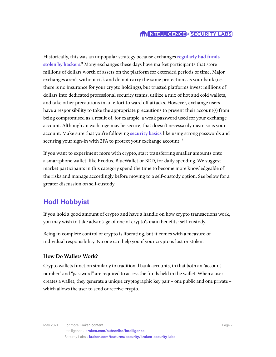#### **MINTELLIGENCE X SECURITY LABS**

Historically, this was an unpopular strategy because exchanges **[regularly had funds](https://www.wired.com/2014/03/bitcoin-exchange/)  [stolen by hackers](https://www.wired.com/2014/03/bitcoin-exchange/)**.3 Many exchanges these days have market participants that store millions of dollars worth of assets on the platform for extended periods of time. Major exchanges aren't without risk and do not carry the same protections as your bank (i.e. there is no insurance for your crypto holdings), but trusted platforms invest millions of dollars into dedicated professional security teams, utilize a mix of hot and cold wallets, and take other precautions in an effort to ward off attacks. However, exchange users have a responsibility to take the appropriate precautions to prevent their account(s) from being compromised as a result of, for example, a weak password used for your exchange account. Although an exchange may be secure, that doesn't necessarily mean so is your account. Make sure that you're following **[security basics](https://support.kraken.com/hc/en-us/articles/360000426923-Secure-your-account-with-two-factor-authentication-2FA-)** like using strong passwords and securing your sign-in with 2FA to protect your exchange account.<sup>4</sup>

If you want to experiment more with crypto, start transferring smaller amounts onto a smartphone wallet, like Exodus, BlueWallet or BRD, for daily spending. We suggest market participants in this category spend the time to become more knowledgeable of the risks and manage accordingly before moving to a self-custody option. See below for a greater discussion on self-custody.

### **Hodl Hobbyist**

If you hold a good amount of crypto and have a handle on how crypto transactions work, you may wish to take advantage of one of crypto's main benefits: self-custody.

Being in complete control of crypto is liberating, but it comes with a measure of individual responsibility. No one can help you if your crypto is lost or stolen.

#### **How Do Wallets Work?**

Crypto wallets function similarly to traditional bank accounts, in that both an "account number" and "password" are required to access the funds held in the wallet. When a user creates a wallet, they generate a unique cryptographic key pair – one public and one private – which allows the user to send or receive crypto.

May 2021 For more Kraken content: Page 7

Intelligence • **[kraken.com/subscribe/intelligence](https://www.kraken.com/subscribe/intelligence)** Security Labs • **[kraken.com/features/security/kraken-security-labs](https://kraken.com/features/security/kraken-security-labs)**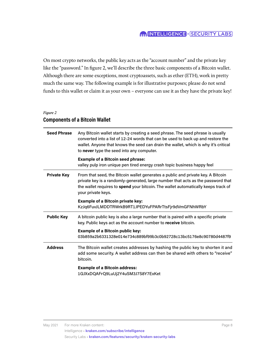#### **MINTELLIGENCE x** SECURITY LABS

On most crypto networks, the public key acts as the "account number" and the private key like the "password." In figure 2, we'll describe the three basic components of a Bitcoin wallet. Although there are some exceptions, most cryptoassets, such as ether (ETH), work in pretty much the same way. The following example is for illustrative purposes; please do not send funds to this wallet or claim it as your own – everyone can use it as they have the private key!

#### *Figure 2*

#### **Components of a Bitcoin Wallet**

| <b>Seed Phrase</b> | Any Bitcoin wallet starts by creating a seed phrase. The seed phrase is usually<br>converted into a list of 12-24 words that can be used to back up and restore the<br>wallet. Anyone that knows the seed can drain the wallet, which is why it's critical<br>to never type the seed into any computer. |
|--------------------|---------------------------------------------------------------------------------------------------------------------------------------------------------------------------------------------------------------------------------------------------------------------------------------------------------|
|                    | <b>Example of a Bitcoin seed phrase:</b><br>valley pulp iron unique pen tired energy crash topic business happy feel                                                                                                                                                                                    |
| <b>Private Key</b> | From that seed, the Bitcoin wallet generates a public and private key. A Bitcoin<br>private key is a randomly-generated, large number that acts as the password that<br>the wallet requires to spend your bitcoin. The wallet automatically keeps track of<br>your private keys.                        |
|                    | <b>Example of a Bitcoin private key:</b><br>KzJq6FuvJLMDDTRWrkB9RT1JPEDYuFPARrTtsFjr9dVmGFNhWRbY                                                                                                                                                                                                        |
| <b>Public Key</b>  | A bitcoin public key is also a large number that is paired with a specific private<br>key. Public keys act as the account number to receive bitcoin.                                                                                                                                                    |
|                    | <b>Example of a Bitcoin public key:</b><br>03b859a2b6331328e014e734c889bf99b3c0b92728c13bc5176e8c90780d4487f9                                                                                                                                                                                           |
| <b>Address</b>     | The Bitcoin wallet creates addresses by hashing the public key to shorten it and<br>add some security. A wallet address can then be shared with others to "receive"<br>bitcoin.                                                                                                                         |
|                    | <b>Example of a Bitcoin address:</b><br>1GJXxDQAFrQ9LuUj2Y4uSM3J7S8Y7ExKet                                                                                                                                                                                                                              |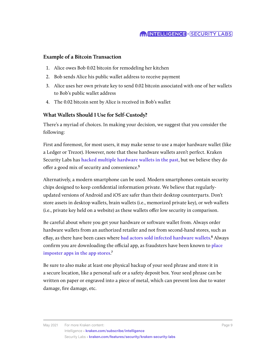#### **MINTELLIGENCE X SECURITY LABS**

#### **Example of a Bitcoin Transaction**

- 1. Alice owes Bob 0.02 bitcoin for remodeling her kitchen
- 2. Bob sends Alice his public wallet address to receive payment
- 3. Alice uses her own private key to send 0.02 bitcoin associated with one of her wallets to Bob's public wallet address
- 4. The 0.02 bitcoin sent by Alice is received in Bob's wallet

#### **What Wallets Should I Use for Self-Custody?**

There's a myriad of choices. In making your decision, we suggest that you consider the following:

First and foremost, for most users, it may make sense to use a major hardware wallet (like a Ledger or Trezor). However, note that these hardware wallets aren't perfect. Kraken Security Labs has **[hacked multiple hardware wallets in the past](https://blog.kraken.com/security-labs/)**, but we believe they do offer a good mix of security and convenience.5

Alternatively, a modern smartphone can be used. Modern smartphones contain security chips designed to keep confidential information private. We believe that regularlyupdated versions of Android and iOS are safer than their desktop counterparts. Don't store assets in desktop wallets, brain wallets (i.e., memorized private key), or web wallets (i.e., private key held on a website) as these wallets offer low security in comparison.

Be careful about where you get your hardware or software wallet from. Always order hardware wallets from an authorized retailer and not from second-hand stores, such as eBay, as there have been cases where **[bad actors sold infected hardware wallets](https://medium.com/@briananderson_99612/scam-alert-a-cautionary-tale-on-the-purchase-of-cryptocurrency-wallets-from-third-party-vendors-5c300acd7d0e)**.6 Always confirm you are downloading the official app, as fraudsters have been known to **[place](https://blog.kraken.com/post/4237/inside-kraken-security-labs-analyzing-android-malware/)  [imposter apps in the app stores](https://blog.kraken.com/post/4237/inside-kraken-security-labs-analyzing-android-malware/)**.7

Be sure to also make at least one physical backup of your seed phrase and store it in a secure location, like a personal safe or a safety deposit box. Your seed phrase can be written on paper or engraved into a piece of metal, which can prevent loss due to water damage, fire damage, etc.

May 2021 For more Kraken content: Page 9

Intelligence • **[kraken.com/subscribe/intelligence](https://www.kraken.com/subscribe/intelligence)** Security Labs • **[kraken.com/features/security/kraken-security-labs](https://kraken.com/features/security/kraken-security-labs)**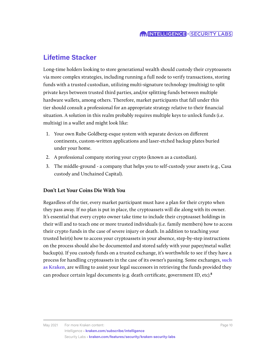## **Lifetime Stacker**

Long-time holders looking to store generational wealth should custody their cryptoassets via more complex strategies, including running a full node to verify transactions, storing funds with a trusted custodian, utilizing multi-signature technology (multisig) to split private keys between trusted third parties, and/or splitting funds between multiple hardware wallets, among others. Therefore, market participants that fall under this tier should consult a professional for an appropriate strategy relative to their financial situation. A solution in this realm probably requires multiple keys to unlock funds (i.e. multisig) in a wallet and might look like:

- 1. Your own Rube Goldberg-esque system with separate devices on different continents, custom-written applications and laser-etched backup plates buried under your home.
- 2. A professional company storing your crypto (known as a custodian).
- 3. The middle-ground a company that helps you to self-custody your assets (e.g., Casa custody and Unchained Capital).

#### **Don't Let Your Coins Die With You**

Regardless of the tier, every market participant must have a plan for their crypto when they pass away. If no plan is put in place, the cryptoassets will die along with its owner. It's essential that every crypto owner take time to include their cryptoasset holdings in their will and to teach one or more trusted individuals (i.e. family members) how to access their crypto funds in the case of severe injury or death. In addition to teaching your trusted heir(s) how to access your cryptoassets in your absence, step-by-step instructions on the process should also be documented and stored safely with your paper/metal wallet backup(s). If you custody funds on a trusted exchange, it's worthwhile to see if they have a process for handling cryptoassets in the case of its owner's passing. Some exchanges, **[such](https://support.kraken.com/hc/en-us/articles/360031279771-Is-it-possible-to-set-a-beneficiary-or-nominee-)  [as Kraken](https://support.kraken.com/hc/en-us/articles/360031279771-Is-it-possible-to-set-a-beneficiary-or-nominee-)**, are willing to assist your legal successors in retrieving the funds provided they can produce certain legal documents (e.g. death certificate, government ID, etc).<sup>8</sup>

Intelligence • **[kraken.com/subscribe/intelligence](https://www.kraken.com/subscribe/intelligence)** Security Labs • **[kraken.com/features/security/kraken-security-labs](https://kraken.com/features/security/kraken-security-labs)**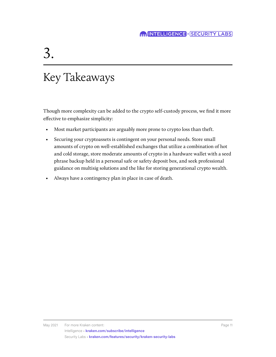# 3.

## Key Takeaways

Though more complexity can be added to the crypto self-custody process, we find it more effective to emphasize simplicity:

- Most market participants are arguably more prone to crypto loss than theft.
- Securing your cryptoassets is contingent on your personal needs. Store small amounts of crypto on well-established exchanges that utilize a combination of hot and cold storage, store moderate amounts of crypto in a hardware wallet with a seed phrase backup held in a personal safe or safety deposit box, and seek professional guidance on multisig solutions and the like for storing generational crypto wealth.
- Always have a contingency plan in place in case of death.

May 2021 For more Kraken content: **Page 11** American content: Page 11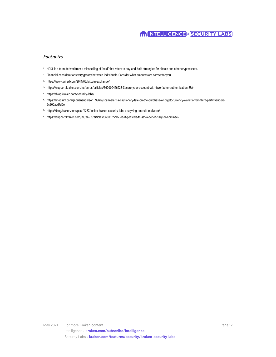#### **MINTELLIGENCE x** SECURITY LABS

#### *Footnotes*

- <sup>1.</sup> HODL is a term derived from a misspelling of "hold" that refers to buy-and-hold strategies for bitcoin and other cryptoassets.
- <sup>2.</sup> Financial considerations vary greatly between individuals. Consider what amounts are correct for you.
- 3. https://www.wired.com/2014/03/bitcoin-exchange/
- 4. https://support.kraken.com/hc/en-us/articles/360000426923-Secure-your-account-with-two-factor-authentication-2FA-
- 5. https://blog.kraken.com/security-labs/
- 6. https://medium.com/@briananderson\_99612/scam-alert-a-cautionary-tale-on-the-purchase-of-cryptocurrency-wallets-from-third-party-vendors-5c300acd7d0e
- 7. https://blog.kraken.com/post/4237/inside-kraken-security-labs-analyzing-android-malware/
- 8. https://support.kraken.com/hc/en-us/articles/360031279771-Is-it-possible-to-set-a-beneficiary-or-nominee-

May 2021 For more Kraken content: **Page 12** All the Second State of the Page 12 All the Page 12